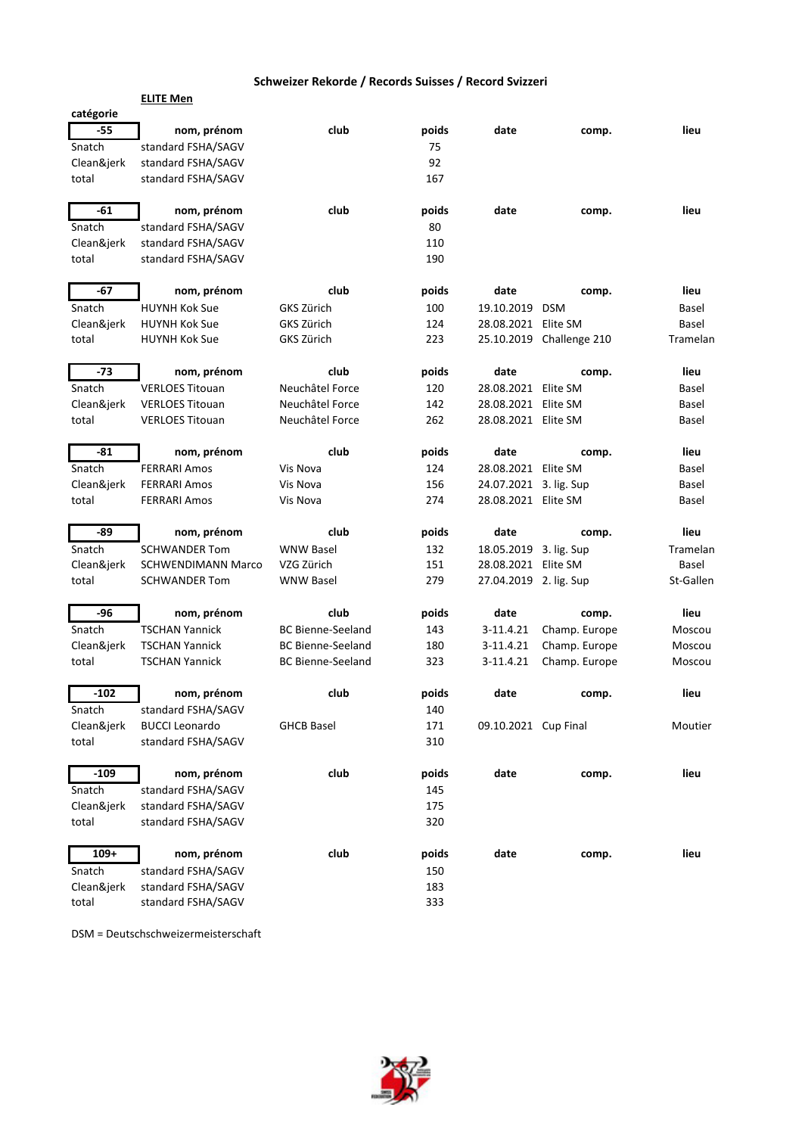|            | <b>ELITE Men</b>          |                          |       |                        |                          |           |
|------------|---------------------------|--------------------------|-------|------------------------|--------------------------|-----------|
| catégorie  |                           |                          |       |                        |                          |           |
| -55        | nom, prénom               | club                     | poids | date                   | comp.                    | lieu      |
| Snatch     | standard FSHA/SAGV        |                          | 75    |                        |                          |           |
| Clean&jerk | standard FSHA/SAGV        |                          | 92    |                        |                          |           |
| total      | standard FSHA/SAGV        |                          | 167   |                        |                          |           |
| -61        | nom, prénom               | club                     | poids | date                   | comp.                    | lieu      |
| Snatch     | standard FSHA/SAGV        |                          | 80    |                        |                          |           |
| Clean&jerk | standard FSHA/SAGV        |                          | 110   |                        |                          |           |
| total      | standard FSHA/SAGV        |                          | 190   |                        |                          |           |
| -67        | nom, prénom               | club                     | poids | date                   | comp.                    | lieu      |
| Snatch     | <b>HUYNH Kok Sue</b>      | GKS Zürich               | 100   | 19.10.2019             | <b>DSM</b>               | Basel     |
| Clean&jerk | <b>HUYNH Kok Sue</b>      | GKS Zürich               | 124   | 28.08.2021 Elite SM    |                          | Basel     |
| total      | <b>HUYNH Kok Sue</b>      | GKS Zürich               | 223   |                        | 25.10.2019 Challenge 210 | Tramelan  |
| -73        | nom, prénom               | club                     | poids | date                   | comp.                    | lieu      |
| Snatch     | <b>VERLOES Titouan</b>    | Neuchâtel Force          | 120   | 28.08.2021 Elite SM    |                          | Basel     |
| Clean&jerk | <b>VERLOES Titouan</b>    | Neuchâtel Force          | 142   | 28.08.2021 Elite SM    |                          | Basel     |
| total      | <b>VERLOES Titouan</b>    | Neuchâtel Force          | 262   | 28.08.2021 Elite SM    |                          | Basel     |
| -81        | nom, prénom               | club                     | poids | date                   | comp.                    | lieu      |
| Snatch     | <b>FERRARI Amos</b>       | Vis Nova                 | 124   | 28.08.2021 Elite SM    |                          | Basel     |
| Clean&jerk | <b>FERRARI Amos</b>       | Vis Nova                 | 156   | 24.07.2021 3. lig. Sup |                          | Basel     |
| total      | <b>FERRARI Amos</b>       | Vis Nova                 | 274   | 28.08.2021 Elite SM    |                          | Basel     |
| -89        | nom, prénom               | club                     | poids | date                   | comp.                    | lieu      |
| Snatch     | <b>SCHWANDER Tom</b>      | <b>WNW Basel</b>         | 132   | 18.05.2019 3. lig. Sup |                          | Tramelan  |
| Clean&jerk | <b>SCHWENDIMANN Marco</b> | VZG Zürich               | 151   | 28.08.2021 Elite SM    |                          | Basel     |
| total      | <b>SCHWANDER Tom</b>      | <b>WNW Basel</b>         | 279   | 27.04.2019 2. lig. Sup |                          | St-Gallen |
| -96        | nom, prénom               | club                     | poids | date                   | comp.                    | lieu      |
| Snatch     | <b>TSCHAN Yannick</b>     | <b>BC Bienne-Seeland</b> | 143   | 3-11.4.21              | Champ. Europe            | Moscou    |
| Clean&jerk | <b>TSCHAN Yannick</b>     | <b>BC Bienne-Seeland</b> | 180   | 3-11.4.21              | Champ. Europe            | Moscou    |
| total      | <b>TSCHAN Yannick</b>     | <b>BC Bienne-Seeland</b> | 323   | 3-11.4.21              | Champ. Europe            | Moscou    |
| $-102$     | nom, prénom               | club                     | poids | date                   | comp.                    | lieu      |
| Snatch     | standard FSHA/SAGV        |                          | 140   |                        |                          |           |
| Clean&jerk | <b>BUCCI Leonardo</b>     | <b>GHCB Basel</b>        | 171   | 09.10.2021 Cup Final   |                          | Moutier   |
| total      | standard FSHA/SAGV        |                          | 310   |                        |                          |           |
| $-109$     | nom, prénom               | club                     | poids | date                   | comp.                    | lieu      |
| Snatch     | standard FSHA/SAGV        |                          | 145   |                        |                          |           |
| Clean&jerk | standard FSHA/SAGV        |                          | 175   |                        |                          |           |
| total      | standard FSHA/SAGV        |                          | 320   |                        |                          |           |
| $109+$     | nom, prénom               | club                     | poids | date                   | comp.                    | lieu      |
| Snatch     | standard FSHA/SAGV        |                          | 150   |                        |                          |           |
| Clean&jerk | standard FSHA/SAGV        |                          | 183   |                        |                          |           |
| total      | standard FSHA/SAGV        |                          | 333   |                        |                          |           |

DSM = Deutschschweizermeisterschaft

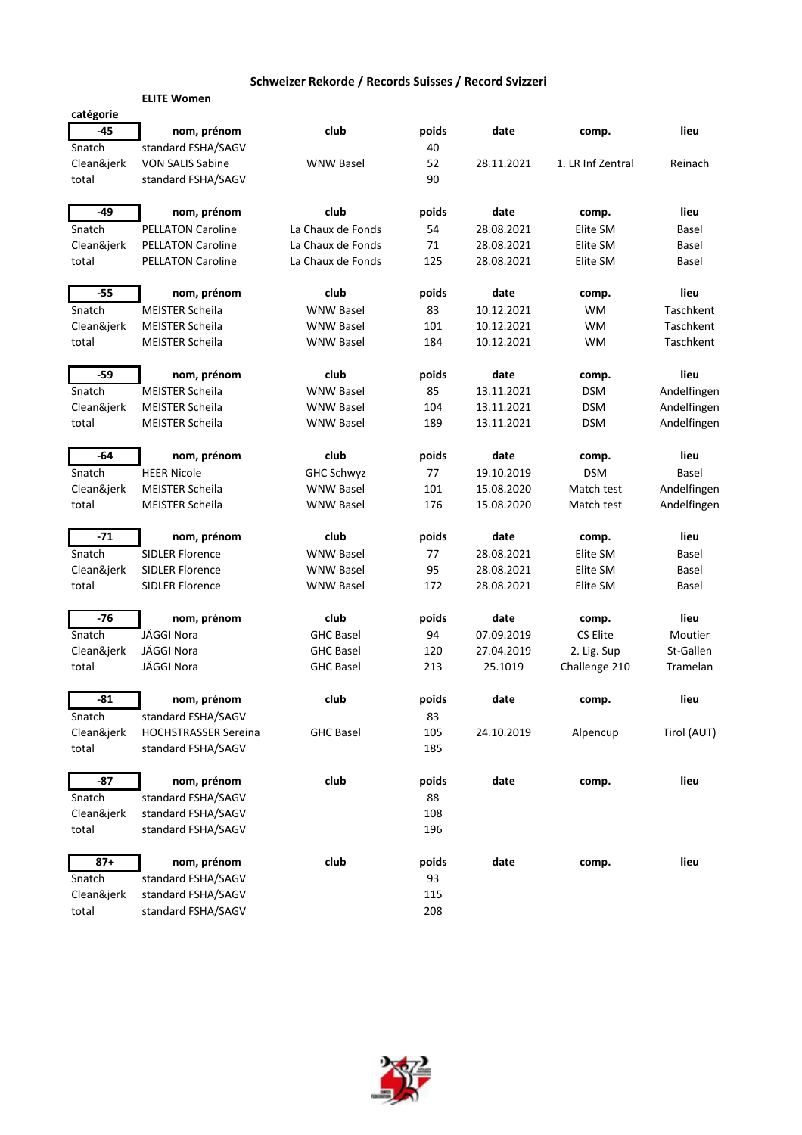|            | <b>ELITE Women</b>          |                   |       |            |                   |             |
|------------|-----------------------------|-------------------|-------|------------|-------------------|-------------|
| catégorie  |                             |                   |       |            |                   |             |
| -45        | nom, prénom                 | club              | poids | date       | comp.             | lieu        |
| Snatch     | standard FSHA/SAGV          |                   | 40    |            |                   |             |
| Clean&jerk | <b>VON SALIS Sabine</b>     | <b>WNW Basel</b>  | 52    | 28.11.2021 | 1. LR Inf Zentral | Reinach     |
| total      | standard FSHA/SAGV          |                   | 90    |            |                   |             |
| -49        | nom, prénom                 | club              | poids | date       | comp.             | lieu        |
| Snatch     | <b>PELLATON Caroline</b>    | La Chaux de Fonds | 54    | 28.08.2021 | Elite SM          | Basel       |
| Clean&jerk | <b>PELLATON Caroline</b>    | La Chaux de Fonds | 71    | 28.08.2021 | Elite SM          | Basel       |
| total      | <b>PELLATON Caroline</b>    | La Chaux de Fonds | 125   | 28.08.2021 | Elite SM          | Basel       |
| $-55$      | nom, prénom                 | club              | poids | date       | comp.             | lieu        |
| Snatch     | <b>MEISTER Scheila</b>      | <b>WNW Basel</b>  | 83    | 10.12.2021 | WM                | Taschkent   |
| Clean&jerk | <b>MEISTER Scheila</b>      | <b>WNW Basel</b>  | 101   | 10.12.2021 | WM                | Taschkent   |
| total      | <b>MEISTER Scheila</b>      | <b>WNW Basel</b>  | 184   | 10.12.2021 | WM                | Taschkent   |
| $-59$      | nom, prénom                 | club              | poids | date       | comp.             | lieu        |
| Snatch     | <b>MEISTER Scheila</b>      | <b>WNW Basel</b>  | 85    | 13.11.2021 | <b>DSM</b>        | Andelfingen |
| Clean&jerk | <b>MEISTER Scheila</b>      | <b>WNW Basel</b>  | 104   | 13.11.2021 | <b>DSM</b>        | Andelfingen |
| total      | <b>MEISTER Scheila</b>      | <b>WNW Basel</b>  | 189   | 13.11.2021 | <b>DSM</b>        | Andelfingen |
| $-64$      | nom, prénom                 | club              | poids | date       | comp.             | lieu        |
| Snatch     | <b>HEER Nicole</b>          | <b>GHC Schwyz</b> | 77    | 19.10.2019 | <b>DSM</b>        | Basel       |
| Clean&jerk | <b>MEISTER Scheila</b>      | <b>WNW Basel</b>  | 101   | 15.08.2020 | Match test        | Andelfingen |
| total      | <b>MEISTER Scheila</b>      | <b>WNW Basel</b>  | 176   | 15.08.2020 | Match test        | Andelfingen |
| $-71$      | nom, prénom                 | club              | poids | date       | comp.             | lieu        |
| Snatch     | <b>SIDLER Florence</b>      | <b>WNW Basel</b>  | 77    | 28.08.2021 | Elite SM          | Basel       |
| Clean&jerk | <b>SIDLER Florence</b>      | <b>WNW Basel</b>  | 95    | 28.08.2021 | Elite SM          | Basel       |
| total      | <b>SIDLER Florence</b>      | <b>WNW Basel</b>  | 172   | 28.08.2021 | Elite SM          | Basel       |
| -76        | nom, prénom                 | club              | poids | date       | comp.             | lieu        |
| Snatch     | JÄGGI Nora                  | <b>GHC Basel</b>  | 94    | 07.09.2019 | CS Elite          | Moutier     |
| Clean&jerk | JÄGGI Nora                  | <b>GHC Basel</b>  | 120   | 27.04.2019 | 2. Lig. Sup       | St-Gallen   |
| total      | JÄGGI Nora                  | <b>GHC Basel</b>  | 213   | 25.1019    | Challenge 210     | Tramelan    |
| $-81$      | nom, prénom                 | club              | poids | date       | comp.             | lieu        |
| Snatch     | standard FSHA/SAGV          |                   | 83    |            |                   |             |
| Clean&jerk | <b>HOCHSTRASSER Sereina</b> | <b>GHC Basel</b>  | 105   | 24.10.2019 | Alpencup          | Tirol (AUT) |
| total      | standard FSHA/SAGV          |                   | 185   |            |                   |             |
| -87        | nom, prénom                 | club              | poids | date       | comp.             | lieu        |
| Snatch     | standard FSHA/SAGV          |                   | 88    |            |                   |             |
| Clean&jerk | standard FSHA/SAGV          |                   | 108   |            |                   |             |
| total      | standard FSHA/SAGV          |                   | 196   |            |                   |             |
| $87 +$     | nom, prénom                 | club              | poids | date       | comp.             | lieu        |
| Snatch     | standard FSHA/SAGV          |                   | 93    |            |                   |             |
| Clean&jerk | standard FSHA/SAGV          |                   | 115   |            |                   |             |
| total      | standard FSHA/SAGV          |                   | 208   |            |                   |             |
|            |                             |                   |       |            |                   |             |

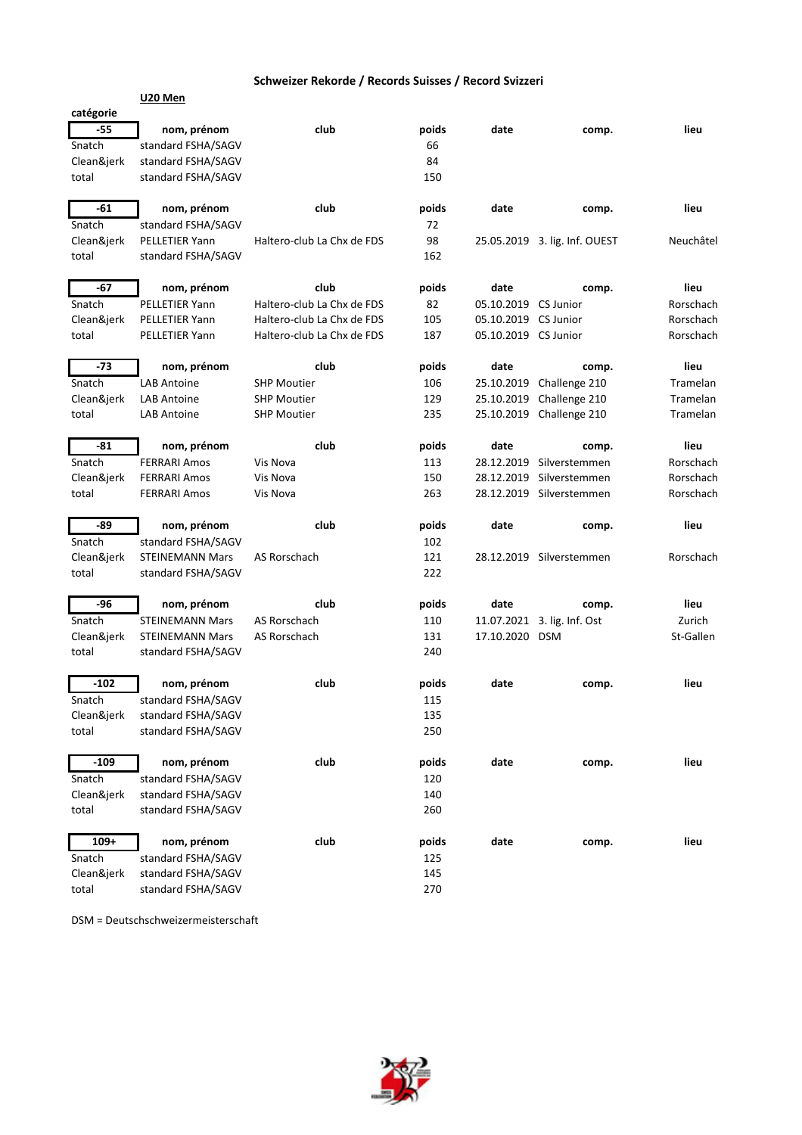| catégorie  |                        |                            |       |                      |                               |           |
|------------|------------------------|----------------------------|-------|----------------------|-------------------------------|-----------|
| -55        | nom, prénom            | club                       | poids | date                 | comp.                         | lieu      |
| Snatch     | standard FSHA/SAGV     |                            | 66    |                      |                               |           |
| Clean&jerk | standard FSHA/SAGV     |                            | 84    |                      |                               |           |
| total      | standard FSHA/SAGV     |                            | 150   |                      |                               |           |
|            |                        |                            |       |                      |                               |           |
| -61        | nom, prénom            | club                       | poids | date                 | comp.                         | lieu      |
| Snatch     | standard FSHA/SAGV     |                            | 72    |                      |                               |           |
| Clean&jerk | PELLETIER Yann         | Haltero-club La Chx de FDS | 98    |                      | 25.05.2019 3. lig. Inf. OUEST | Neuchâtel |
| total      | standard FSHA/SAGV     |                            | 162   |                      |                               |           |
|            |                        |                            |       |                      |                               |           |
| -67        | nom, prénom            | club                       | poids | date                 | comp.                         | lieu      |
| Snatch     | PELLETIER Yann         | Haltero-club La Chx de FDS | 82    | 05.10.2019 CS Junior |                               | Rorschach |
| Clean&jerk | PELLETIER Yann         | Haltero-club La Chx de FDS | 105   | 05.10.2019 CS Junior |                               | Rorschach |
| total      | PELLETIER Yann         | Haltero-club La Chx de FDS | 187   | 05.10.2019 CS Junior |                               | Rorschach |
|            |                        |                            |       |                      |                               |           |
| -73        | nom, prénom            | club                       | poids | date                 | comp.                         | lieu      |
| Snatch     | <b>LAB Antoine</b>     | <b>SHP Moutier</b>         | 106   |                      | 25.10.2019 Challenge 210      | Tramelan  |
| Clean&jerk | <b>LAB Antoine</b>     | <b>SHP Moutier</b>         | 129   | 25.10.2019           | Challenge 210                 | Tramelan  |
| total      | <b>LAB Antoine</b>     | <b>SHP Moutier</b>         | 235   |                      | 25.10.2019 Challenge 210      | Tramelan  |
|            |                        |                            |       |                      |                               |           |
| -81        | nom, prénom            | club                       | poids | date                 | comp.                         | lieu      |
| Snatch     | <b>FERRARI Amos</b>    | Vis Nova                   | 113   |                      | 28.12.2019 Silverstemmen      | Rorschach |
| Clean&jerk | <b>FERRARI Amos</b>    | Vis Nova                   | 150   | 28.12.2019           | Silverstemmen                 | Rorschach |
| total      | <b>FERRARI Amos</b>    | Vis Nova                   | 263   |                      | 28.12.2019 Silverstemmen      | Rorschach |
|            |                        |                            |       |                      |                               |           |
| -89        | nom, prénom            | club                       | poids | date                 | comp.                         | lieu      |
| Snatch     | standard FSHA/SAGV     |                            | 102   |                      |                               |           |
| Clean&jerk | <b>STEINEMANN Mars</b> | AS Rorschach               | 121   |                      | 28.12.2019 Silverstemmen      | Rorschach |
| total      | standard FSHA/SAGV     |                            | 222   |                      |                               |           |
|            |                        |                            |       |                      |                               |           |
| -96        | nom, prénom            | club                       | poids | date                 | comp.                         | lieu      |
| Snatch     | <b>STEINEMANN Mars</b> | AS Rorschach               | 110   |                      | 11.07.2021 3. lig. Inf. Ost   | Zurich    |
| Clean&jerk | <b>STEINEMANN Mars</b> | AS Rorschach               | 131   | 17.10.2020 DSM       |                               | St-Gallen |
| total      | standard FSHA/SAGV     |                            | 240   |                      |                               |           |
|            |                        |                            |       |                      |                               |           |
| $-102$     | nom, prénom            | club                       | poids | date                 | comp.                         | lieu      |
| Snatch     | standard FSHA/SAGV     |                            | 115   |                      |                               |           |
| Clean&jerk | standard FSHA/SAGV     |                            | 135   |                      |                               |           |
| total      | standard FSHA/SAGV     |                            | 250   |                      |                               |           |
| $-109$     |                        |                            |       |                      |                               |           |
|            | nom, prénom            | club                       | poids | date                 | comp.                         | lieu      |
| Snatch     | standard FSHA/SAGV     |                            | 120   |                      |                               |           |
| Clean&jerk | standard FSHA/SAGV     |                            | 140   |                      |                               |           |
| total      | standard FSHA/SAGV     |                            | 260   |                      |                               |           |
| $109+$     | nom, prénom            | club                       | poids | date                 | comp.                         | lieu      |
| Snatch     | standard FSHA/SAGV     |                            | 125   |                      |                               |           |
| Clean&jerk | standard FSHA/SAGV     |                            | 145   |                      |                               |           |
| total      | standard FSHA/SAGV     |                            | 270   |                      |                               |           |
|            |                        |                            |       |                      |                               |           |

DSM = Deutschschweizermeisterschaft

**U20 Men**

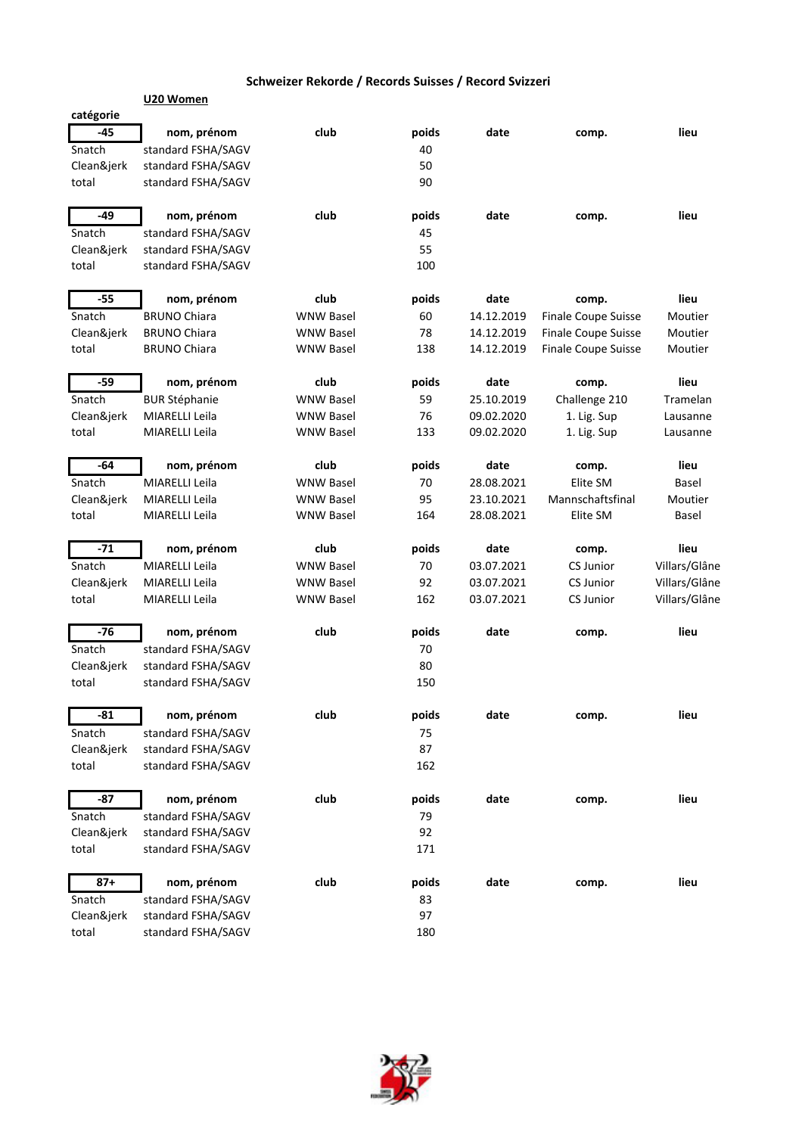|                     | U20 Women                                |                  |          |            |                            |               |
|---------------------|------------------------------------------|------------------|----------|------------|----------------------------|---------------|
| catégorie           |                                          |                  |          |            |                            |               |
| $-45$               | nom, prénom                              | club             | poids    | date       | comp.                      | lieu          |
| Snatch              | standard FSHA/SAGV                       |                  | 40       |            |                            |               |
| Clean&jerk          | standard FSHA/SAGV                       |                  | 50       |            |                            |               |
| total               | standard FSHA/SAGV                       |                  | 90       |            |                            |               |
|                     |                                          |                  |          |            |                            |               |
| $-49$               | nom, prénom                              | club             | poids    | date       | comp.                      | lieu          |
| Snatch              | standard FSHA/SAGV                       |                  | 45       |            |                            |               |
| Clean&jerk          | standard FSHA/SAGV                       |                  | 55       |            |                            |               |
| total               | standard FSHA/SAGV                       |                  | 100      |            |                            |               |
| $-55$               | nom, prénom                              | club             | poids    | date       | comp.                      | lieu          |
| Snatch              | <b>BRUNO Chiara</b>                      | <b>WNW Basel</b> | 60       | 14.12.2019 | <b>Finale Coupe Suisse</b> | Moutier       |
| Clean&jerk          | <b>BRUNO Chiara</b>                      | WNW Basel        | 78       | 14.12.2019 | Finale Coupe Suisse        | Moutier       |
| total               | <b>BRUNO Chiara</b>                      | <b>WNW Basel</b> | 138      | 14.12.2019 | Finale Coupe Suisse        | Moutier       |
| $-59$               | nom, prénom                              | club             | poids    | date       | comp.                      | lieu          |
| Snatch              | <b>BUR Stéphanie</b>                     | <b>WNW Basel</b> | 59       | 25.10.2019 | Challenge 210              | Tramelan      |
| Clean&jerk          | MIARELLI Leila                           | <b>WNW Basel</b> | 76       | 09.02.2020 | 1. Lig. Sup                | Lausanne      |
| total               | MIARELLI Leila                           | <b>WNW Basel</b> | 133      | 09.02.2020 | 1. Lig. Sup                | Lausanne      |
|                     |                                          |                  |          |            |                            |               |
| -64                 | nom, prénom                              | club             | poids    | date       | comp.                      | lieu          |
| Snatch              | MIARELLI Leila                           | <b>WNW Basel</b> | 70       | 28.08.2021 | Elite SM                   | Basel         |
| Clean&jerk          | MIARELLI Leila                           | <b>WNW Basel</b> | 95       | 23.10.2021 | Mannschaftsfinal           | Moutier       |
| total               | MIARELLI Leila                           | <b>WNW Basel</b> | 164      | 28.08.2021 | Elite SM                   | Basel         |
| $-71$               | nom, prénom                              | club             | poids    | date       | comp.                      | lieu          |
| Snatch              | MIARELLI Leila                           | <b>WNW Basel</b> | 70       | 03.07.2021 | <b>CS Junior</b>           | Villars/Glâne |
| Clean&jerk          | MIARELLI Leila                           | WNW Basel        | 92       | 03.07.2021 | <b>CS Junior</b>           | Villars/Glâne |
| total               | MIARELLI Leila                           | <b>WNW Basel</b> | 162      | 03.07.2021 | <b>CS Junior</b>           | Villars/Glâne |
| $-76$               | nom, prénom                              | club             | poids    | date       | comp.                      | lieu          |
| Snatch              | standard FSHA/SAGV                       |                  | 70       |            |                            |               |
| Clean&jerk          | standard FSHA/SAGV                       |                  | 80       |            |                            |               |
| total               | standard FSHA/SAGV                       |                  | 150      |            |                            |               |
|                     |                                          |                  |          |            |                            |               |
| $-81$               | nom, prénom                              | club             | poids    | date       | comp.                      | lieu          |
| Snatch              | standard FSHA/SAGV                       |                  | 75       |            |                            |               |
| Clean&jerk          | standard FSHA/SAGV                       |                  | 87       |            |                            |               |
| total               | standard FSHA/SAGV                       |                  | 162      |            |                            |               |
| -87                 | nom, prénom                              | club             | poids    | date       | comp.                      | lieu          |
| Snatch              | standard FSHA/SAGV                       |                  | 79       |            |                            |               |
| Clean&jerk          | standard FSHA/SAGV                       |                  | 92       |            |                            |               |
| total               | standard FSHA/SAGV                       |                  | 171      |            |                            |               |
| $87 +$              |                                          | club             |          | date       |                            | lieu          |
|                     | nom, prénom                              |                  | poids    |            | comp.                      |               |
| Snatch              | standard FSHA/SAGV                       |                  | 83<br>97 |            |                            |               |
| Clean&jerk<br>total | standard FSHA/SAGV<br>standard FSHA/SAGV |                  | 180      |            |                            |               |
|                     |                                          |                  |          |            |                            |               |

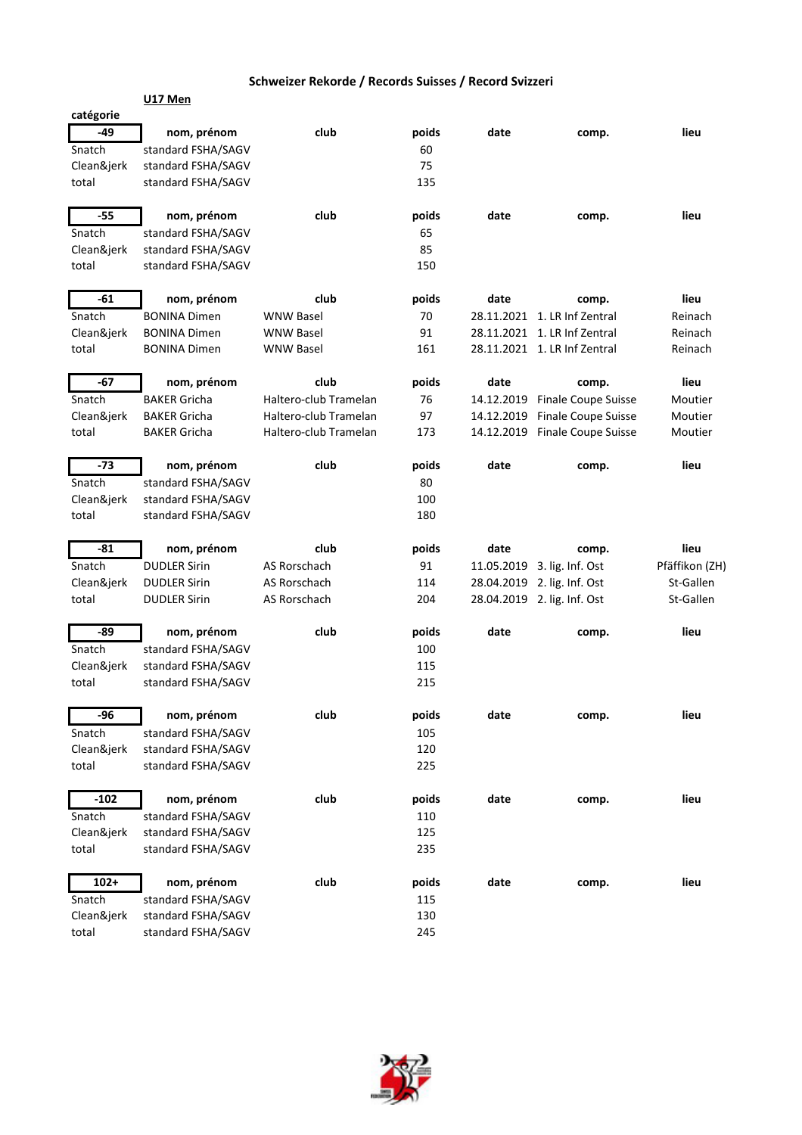|            | <b>U17 Men</b>      |                       |       |            |                              |                |
|------------|---------------------|-----------------------|-------|------------|------------------------------|----------------|
| catégorie  |                     |                       |       |            |                              |                |
| -49        | nom, prénom         | club                  | poids | date       | comp.                        | lieu           |
| Snatch     | standard FSHA/SAGV  |                       | 60    |            |                              |                |
| Clean&jerk | standard FSHA/SAGV  |                       | 75    |            |                              |                |
| total      | standard FSHA/SAGV  |                       | 135   |            |                              |                |
| $-55$      | nom, prénom         | club                  | poids | date       | comp.                        | lieu           |
| Snatch     | standard FSHA/SAGV  |                       | 65    |            |                              |                |
| Clean&jerk | standard FSHA/SAGV  |                       | 85    |            |                              |                |
| total      | standard FSHA/SAGV  |                       | 150   |            |                              |                |
| $-61$      | nom, prénom         | club                  | poids | date       | comp.                        | lieu           |
| Snatch     | <b>BONINA Dimen</b> | <b>WNW Basel</b>      | 70    |            | 28.11.2021 1. LR Inf Zentral | Reinach        |
| Clean&jerk | <b>BONINA Dimen</b> | <b>WNW Basel</b>      | 91    |            | 28.11.2021 1. LR Inf Zentral | Reinach        |
| total      | <b>BONINA Dimen</b> | WNW Basel             | 161   |            | 28.11.2021 1. LR Inf Zentral | Reinach        |
| $-67$      | nom, prénom         | club                  | poids | date       | comp.                        | lieu           |
| Snatch     | <b>BAKER Gricha</b> | Haltero-club Tramelan | 76    | 14.12.2019 | Finale Coupe Suisse          | Moutier        |
| Clean&jerk | <b>BAKER Gricha</b> | Haltero-club Tramelan | 97    | 14.12.2019 | Finale Coupe Suisse          | Moutier        |
| total      | <b>BAKER Gricha</b> | Haltero-club Tramelan | 173   | 14.12.2019 | Finale Coupe Suisse          | Moutier        |
| $-73$      | nom, prénom         | club                  | poids | date       | comp.                        | lieu           |
| Snatch     | standard FSHA/SAGV  |                       | 80    |            |                              |                |
| Clean&jerk | standard FSHA/SAGV  |                       | 100   |            |                              |                |
| total      | standard FSHA/SAGV  |                       | 180   |            |                              |                |
| $-81$      | nom, prénom         | club                  | poids | date       | comp.                        | lieu           |
| Snatch     | <b>DUDLER Sirin</b> | AS Rorschach          | 91    | 11.05.2019 | 3. lig. Inf. Ost             | Pfäffikon (ZH) |
| Clean&jerk | <b>DUDLER Sirin</b> | AS Rorschach          | 114   |            | 28.04.2019 2. lig. Inf. Ost  | St-Gallen      |
| total      | <b>DUDLER Sirin</b> | AS Rorschach          | 204   |            | 28.04.2019 2. lig. Inf. Ost  | St-Gallen      |
| -89        | nom, prénom         | club                  | poids | date       | comp.                        | lieu           |
| Snatch     | standard FSHA/SAGV  |                       | 100   |            |                              |                |
| Clean&jerk | standard FSHA/SAGV  |                       | 115   |            |                              |                |
| total      | standard FSHA/SAGV  |                       | 215   |            |                              |                |
| -96        | nom, prénom         | club                  | poids | date       | comp.                        | lieu           |
| Snatch     | standard FSHA/SAGV  |                       | 105   |            |                              |                |
| Clean&jerk | standard FSHA/SAGV  |                       | 120   |            |                              |                |
| total      | standard FSHA/SAGV  |                       | 225   |            |                              |                |
| $-102$     | nom, prénom         | club                  | poids | date       | comp.                        | lieu           |
| Snatch     | standard FSHA/SAGV  |                       | 110   |            |                              |                |
| Clean&jerk | standard FSHA/SAGV  |                       | 125   |            |                              |                |
| total      | standard FSHA/SAGV  |                       | 235   |            |                              |                |
| $102 +$    | nom, prénom         | club                  | poids | date       | comp.                        | lieu           |
| Snatch     | standard FSHA/SAGV  |                       | 115   |            |                              |                |
| Clean&jerk | standard FSHA/SAGV  |                       | 130   |            |                              |                |
| total      | standard FSHA/SAGV  |                       | 245   |            |                              |                |

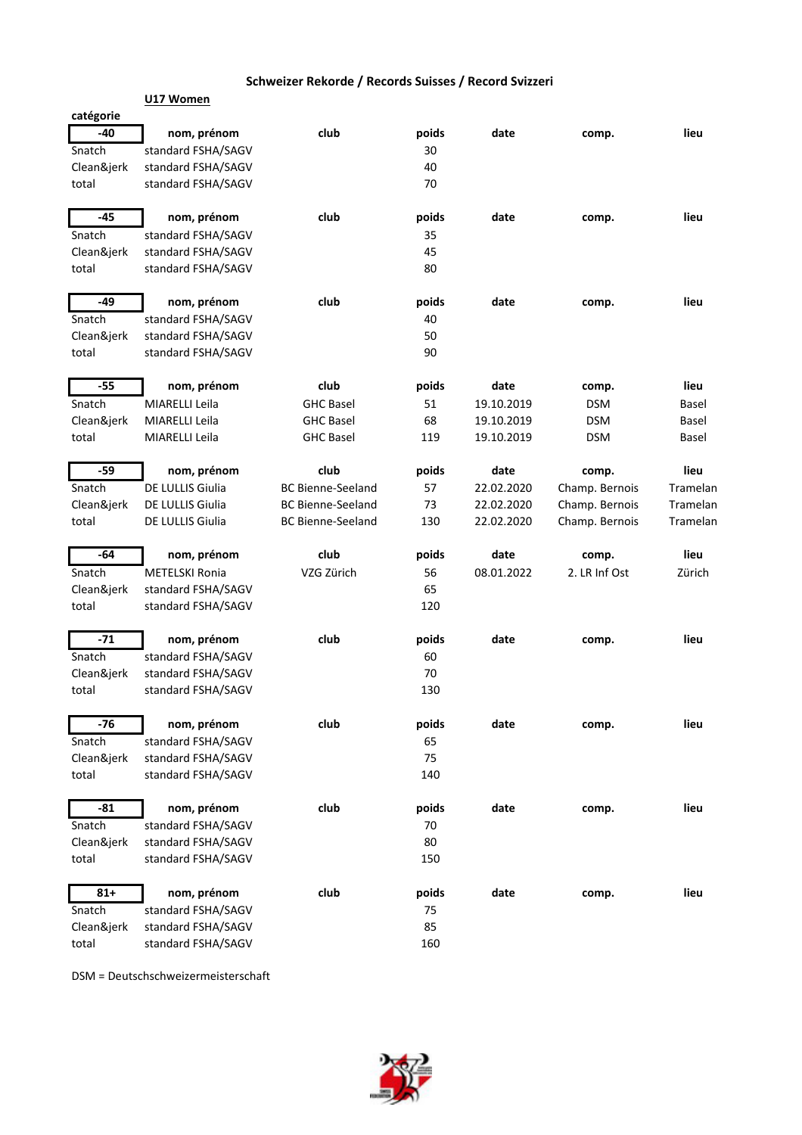|            | U17 Women             |                          |       |            |                |          |
|------------|-----------------------|--------------------------|-------|------------|----------------|----------|
| catégorie  |                       |                          |       |            |                |          |
| $-40$      | nom, prénom           | club                     | poids | date       | comp.          | lieu     |
| Snatch     | standard FSHA/SAGV    |                          | 30    |            |                |          |
| Clean&jerk | standard FSHA/SAGV    |                          | 40    |            |                |          |
| total      | standard FSHA/SAGV    |                          | 70    |            |                |          |
| $-45$      | nom, prénom           | club                     | poids | date       | comp.          | lieu     |
| Snatch     | standard FSHA/SAGV    |                          | 35    |            |                |          |
| Clean&jerk | standard FSHA/SAGV    |                          | 45    |            |                |          |
| total      | standard FSHA/SAGV    |                          | 80    |            |                |          |
|            |                       |                          |       |            |                |          |
| $-49$      | nom, prénom           | club                     | poids | date       | comp.          | lieu     |
| Snatch     | standard FSHA/SAGV    |                          | 40    |            |                |          |
| Clean&jerk | standard FSHA/SAGV    |                          | 50    |            |                |          |
| total      | standard FSHA/SAGV    |                          | 90    |            |                |          |
| $-55$      | nom, prénom           | club                     | poids | date       | comp.          | lieu     |
| Snatch     | MIARELLI Leila        | <b>GHC Basel</b>         | 51    | 19.10.2019 | <b>DSM</b>     | Basel    |
| Clean&jerk | MIARELLI Leila        | <b>GHC Basel</b>         | 68    | 19.10.2019 | DSM            | Basel    |
| total      | MIARELLI Leila        | <b>GHC Basel</b>         | 119   | 19.10.2019 | <b>DSM</b>     | Basel    |
|            |                       |                          |       |            |                |          |
| -59        | nom, prénom           | club                     | poids | date       | comp.          | lieu     |
| Snatch     | DE LULLIS Giulia      | <b>BC Bienne-Seeland</b> | 57    | 22.02.2020 | Champ. Bernois | Tramelan |
| Clean&jerk | DE LULLIS Giulia      | <b>BC Bienne-Seeland</b> | 73    | 22.02.2020 | Champ. Bernois | Tramelan |
| total      | DE LULLIS Giulia      | <b>BC Bienne-Seeland</b> | 130   | 22.02.2020 | Champ. Bernois | Tramelan |
| $-64$      | nom, prénom           | club                     | poids | date       | comp.          | lieu     |
| Snatch     | <b>METELSKI Ronia</b> | VZG Zürich               | 56    | 08.01.2022 | 2. LR Inf Ost  | Zürich   |
| Clean&jerk | standard FSHA/SAGV    |                          | 65    |            |                |          |
| total      | standard FSHA/SAGV    |                          | 120   |            |                |          |
| $-71$      | nom, prénom           | club                     | poids | date       | comp.          | lieu     |
| Snatch     | standard FSHA/SAGV    |                          | 60    |            |                |          |
| Clean&jerk | standard FSHA/SAGV    |                          | 70    |            |                |          |
| total      | standard FSHA/SAGV    |                          | 130   |            |                |          |
|            |                       |                          |       |            |                |          |
| -76        | nom, prénom           | club                     | poids | date       | comp.          | lieu     |
| Snatch     | standard FSHA/SAGV    |                          | 65    |            |                |          |
| Clean&jerk | standard FSHA/SAGV    |                          | 75    |            |                |          |
| total      | standard FSHA/SAGV    |                          | 140   |            |                |          |
| $-81$      | nom, prénom           | club                     | poids | date       | comp.          | lieu     |
| Snatch     | standard FSHA/SAGV    |                          | 70    |            |                |          |
| Clean&jerk | standard FSHA/SAGV    |                          | 80    |            |                |          |
| total      | standard FSHA/SAGV    |                          | 150   |            |                |          |
|            |                       |                          |       |            |                |          |
| $81 +$     | nom, prénom           | club                     | poids | date       | comp.          | lieu     |
| Snatch     | standard FSHA/SAGV    |                          | 75    |            |                |          |
| Clean&jerk | standard FSHA/SAGV    |                          | 85    |            |                |          |
| total      | standard FSHA/SAGV    |                          | 160   |            |                |          |

DSM = Deutschschweizermeisterschaft